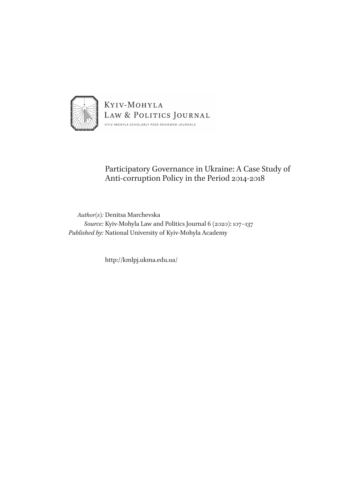

# Participatory Governance in Ukraine: A Case Study of Anti-corruption Policy in the Period 2014-2018

*Author(s):* Denitsa Marchevska *Source:* Kyiv-Mohyla Law and Politics Journal 6 (2020): 107–137 *Published by:* National University of Kyiv-Mohyla Academy

http://kmlpj.ukma.edu.ua/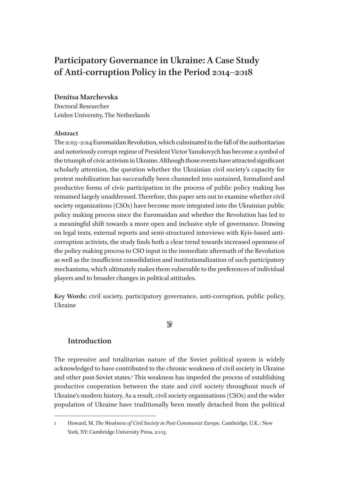# **Participatory Governance in Ukraine: A Case Study of Anti-corruption Policy in the Period 2014–2018**

# **Denitsa Marchevska**

Doctoral Researcher Leiden University, The Netherlands

# **Abstract**

The 2013–2014 Euromaidan Revolution, which culminated in the fall of the authoritarian and notoriously corrupt regime of President Victor Yanukovych has become a symbol of the triumph of civic activism in Ukraine. Although those events have attracted significant scholarly attention, the question whether the Ukrainian civil society's capacity for protest mobilization has successfully been channeled into sustained, formalized and productive forms of civic participation in the process of public policy making has remained largely unaddressed. Therefore, this paper sets out to examine whether civil society organizations (CSOs) have become more integrated into the Ukrainian public policy making process since the Euromaidan and whether the Revolution has led to a meaningful shift towards a more open and inclusive style of governance. Drawing on legal texts, external reports and semi-structured interviews with Kyiv-based anticorruption activists, the study finds both a clear trend towards increased openness of the policy making process to CSO input in the immediate aftermath of the Revolution as well as the insufficient consolidation and institutionalization of such participatory mechanisms, which ultimately makes them vulnerable to the preferences of individual players and to broader changes in political attitudes.

**Key Words:** civil society, participatory governance, anti-corruption, public policy, Ukraine

# $\mathcal{D}$

# **Introduction**

The repressive and totalitarian nature of the Soviet political system is widely acknowledged to have contributed to the chronic weakness of civil society in Ukraine and other post-Soviet states.1 This weakness has impeded the process of establishing productive cooperation between the state and civil society throughout much of Ukraine's modern history. As a result, civil society organizations (CSOs) and the wider population of Ukraine have traditionally been mostly detached from the political

<sup>1</sup> Howard, M. *The Weakness of Civil Society in Post-Communist Europe*. Cambridge, U.K. ; New York, NY: Cambridge University Press, 2003.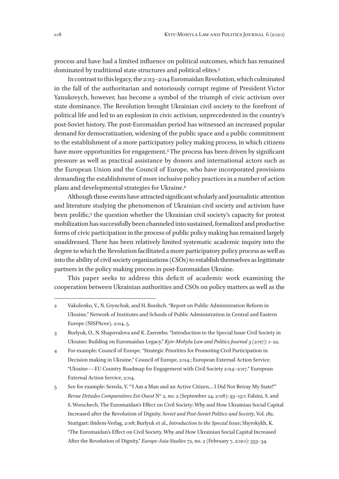process and have had a limited influence on political outcomes, which has remained dominated by traditional state structures and political elites.<sup>2</sup>

In contrast to this legacy, the 2013–2014 Euromaidan Revolution, which culminated in the fall of the authoritarian and notoriously corrupt regime of President Victor Yanukovych, however, has become a symbol of the triumph of civic activism over state dominance. The Revolution brought Ukrainian civil society to the forefront of political life and led to an explosion in civic activism, unprecedented in the country's post-Soviet history. The post-Euromaidan period has witnessed an increased popular demand for democratization, widening of the public space and a public commitment to the establishment of a more participatory policy making process, in which citizens have more opportunities for engagement.<sup>3</sup> The process has been driven by significant pressure as well as practical assistance by donors and international actors such as the European Union and the Council of Europe, who have incorporated provisions demanding the establishment of more inclusive policy practices in a number of action plans and developmental strategies for Ukraine.4

Although those events have attracted significant scholarly and journalistic attention and literature studying the phenomenon of Ukrainian civil society and activism have been prolific,<sup>5</sup> the question whether the Ukrainian civil society's capacity for protest mobilization has successfully been channeled into sustained, formalized and productive forms of civic participation in the process of public policy making has remained largely unaddressed. There has been relatively limited systematic academic inquiry into the degree to which the Revolution facilitated a more participatory policy process as well as into the ability of civil society organizations (CSOs) to establish themselves as legitimate partners in the policy making process in post-Euromaidan Ukraine.

This paper seeks to address this deficit of academic work examining the cooperation between Ukrainian authorities and CSOs on policy matters as well as the

- 4 For example: Council of Europe. "Strategic Priorities for Promoting Civil Participation in Decision making in Ukraine." Council of Europe, 2014.; European External Action Service. "Ukraine—EU Country Roadmap for Engagement with Civil Society 2014–2017." European External Action Service, 2014.
- 5 See for example: Sereda, V. "'I Am a Man and an Active Citizen… I Did Not Betray My State!'" *Revue Detudes Comparatives Est-Ouest* N° 2, no. 2 (September 24, 2018): 93–130; Falsini, S. and S. Worschech. The Euromaidan's Effect on Civil Society: Why and How Ukrainian Social Capital Increased after the Revolution of Dignity. *Soviet and Post-Soviet Politics and Society*, Vol. 182. Stuttgart: ibidem-Verlag, 2018; Burlyuk et al., *Introduction to the Special Issue*; Shyrokykh, K. "The Euromaidan's Effect on Civil Society. Why and How Ukrainian Social Capital Increased After the Revolution of Dignity." *Europe-Asia Studies* 72, no. 2 (February 7, 2020): 333–34.

<sup>2</sup> Vakulenko, V., N. Grynchuk, and H. Borshch. "Report on Public Administration Reform in Ukraine." Network of Institutes and Schools of Public Administration in Central and Eastern Europe (NISPAcee), 2014, 5.

<sup>3</sup> Burlyuk, O., N. Shapovalova and K. Zarembo. "Introduction to the Special Issue Civil Society in Ukraine: Building on Euromaidan Legacy." *Kyiv-Mohyla Law and Politics Journal* 3 (2017): 1–22.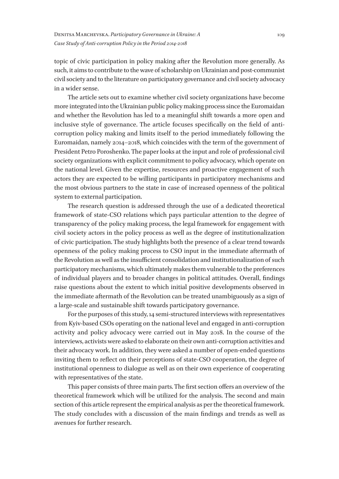topic of civic participation in policy making after the Revolution more generally. As such, it aims to contribute to the wave of scholarship on Ukrainian and post-communist civil society and to the literature on participatory governance and civil society advocacy in a wider sense.

The article sets out to examine whether civil society organizations have become more integrated into the Ukrainian public policy making process since the Euromaidan and whether the Revolution has led to a meaningful shift towards a more open and inclusive style of governance. The article focuses specifically on the field of anticorruption policy making and limits itself to the period immediately following the Euromaidan, namely 2014–2018, which coincides with the term of the government of President Petro Poroshenko. The paper looks at the input and role of professional civil society organizations with explicit commitment to policy advocacy, which operate on the national level. Given the expertise, resources and proactive engagement of such actors they are expected to be willing participants in participatory mechanisms and the most obvious partners to the state in case of increased openness of the political system to external participation.

The research question is addressed through the use of a dedicated theoretical framework of state-CSO relations which pays particular attention to the degree of transparency of the policy making process, the legal framework for engagement with civil society actors in the policy process as well as the degree of institutionalization of civic participation. The study highlights both the presence of a clear trend towards openness of the policy making process to CSO input in the immediate aftermath of the Revolution as well as the insufficient consolidation and institutionalization of such participatory mechanisms, which ultimately makes them vulnerable to the preferences of individual players and to broader changes in political attitudes. Overall, findings raise questions about the extent to which initial positive developments observed in the immediate aftermath of the Revolution can be treated unambiguously as a sign of a large-scale and sustainable shift towards participatory governance.

For the purposes of this study, 14 semi-structured interviews with representatives from Kyiv-based CSOs operating on the national level and engaged in anti-corruption activity and policy advocacy were carried out in May 2018. In the course of the interviews, activists were asked to elaborate on their own anti-corruption activities and their advocacy work. In addition, they were asked a number of open-ended questions inviting them to reflect on their perceptions of state-CSO cooperation, the degree of institutional openness to dialogue as well as on their own experience of cooperating with representatives of the state.

This paper consists of three main parts. The first section offers an overview of the theoretical framework which will be utilized for the analysis. The second and main section of this article represent the empirical analysis as per the theoretical framework. The study concludes with a discussion of the main findings and trends as well as avenues for further research.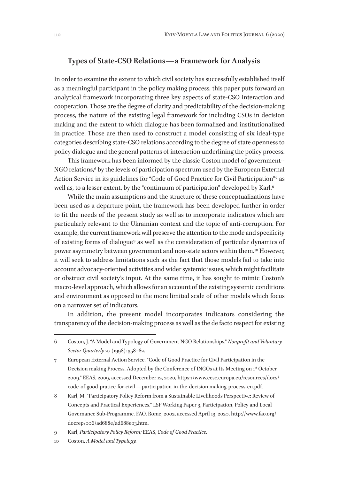#### **Types of State-CSO Relations—a Framework for Analysis**

In order to examine the extent to which civil society has successfully established itself as a meaningful participant in the policy making process, this paper puts forward an analytical framework incorporating three key aspects of state-CSO interaction and cooperation. Those are the degree of clarity and predictability of the decision-making process, the nature of the existing legal framework for including CSOs in decision making and the extent to which dialogue has been formalized and institutionalized in practice. Those are then used to construct a model consisting of six ideal-type categories describing state-CSO relations according to the degree of state openness to policy dialogue and the general patterns of interaction underlining the policy process.

This framework has been informed by the classic Coston model of government- - NGO relations, $6$  by the levels of participation spectrum used by the European External Action Service in its guidelines for "Code of Good Practice for Civil Participation"<sup>7</sup> as well as, to a lesser extent, by the "continuum of participation" developed by Karl.<sup>8</sup>

While the main assumptions and the structure of these conceptualizations have been used as a departure point, the framework has been developed further in order to fit the needs of the present study as well as to incorporate indicators which are particularly relevant to the Ukrainian context and the topic of anti-corruption. For example, the current framework will preserve the attention to the mode and specificity of existing forms of dialogue 9 as well as the consideration of particular dynamics of power asymmetry between government and non-state actors within them.10 However, it will seek to address limitations such as the fact that those models fail to take into account advocacy-oriented activities and wider systemic issues, which might facilitate or obstruct civil society's input. At the same time, it has sought to mimic Coston's macro-level approach, which allows for an account of the existing systemic conditions and environment as opposed to the more limited scale of other models which focus on a narrower set of indicators.

In addition, the present model incorporates indicators considering the transparency of the decision-making process as well as the de facto respect for existing

<sup>6</sup> Coston, J. "A Model and Typology of Government-NGO Relationships." *Nonprofit and Voluntary Sector Quarterly* 27 (1998): 358–82.

<sup>7</sup> European External Action Service. "Code of Good Practice for Civil Participation in the Decision making Process. Adopted by the Conference of INGOs at Its Meeting on 1st October 2009." EEAS, 2009, accessed December 12, 2020, https://www.eesc.europa.eu/resources/docs/ code-of-good-pratice-for-civil—participation-in-the-decision making-process-en.pdf.

<sup>8</sup> Karl, M. "Participatory Policy Reform from a Sustainable Livelihoods Perspective: Review of Concepts and Practical Experiences." LSP Working Paper 3, Participation, Policy and Local Governance Sub-Programme. FAO, Rome, 2002, accessed April 13, 2020, http://www.fao.org/ docrep/006/ad688e/ad688e03.htm.

<sup>9</sup> Karl, *Participatory Policy Reform;* EEAS, *Code of Good Practice.*

<sup>10</sup> Coston, *A Model and Typology.*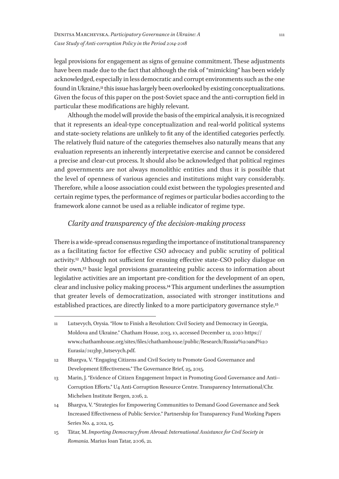legal provisions for engagement as signs of genuine commitment. These adjustments have been made due to the fact that although the risk of "mimicking" has been widely acknowledged, especially in less democratic and corrupt environments such as the one found in Ukraine,<sup>11</sup> this issue has largely been overlooked by existing conceptualizations. Given the focus of this paper on the post-Soviet space and the anti-corruption field in particular these modifications are highly relevant.

Although the model will provide the basis of the empirical analysis, it is recognized that it represents an ideal-type conceptualization and real-world political systems and state-society relations are unlikely to fit any of the identified categories perfectly. The relatively fluid nature of the categories themselves also naturally means that any evaluation represents an inherently interpretative exercise and cannot be considered a precise and clear-cut process. It should also be acknowledged that political regimes and governments are not always monolithic entities and thus it is possible that the level of openness of various agencies and institutions might vary considerably. Therefore, while a loose association could exist between the typologies presented and certain regime types, the performance of regimes or particular bodies according to the framework alone cannot be used as a reliable indicator of regime type.

# *Clarity and transparency of the decision-making process*

There is a wide-spread consensus regarding the importance of institutional transparency as a facilitating factor for effective CSO advocacy and public scrutiny of political activity.12 Although not sufficient for ensuing effective state-CSO policy dialogue on their own,13 basic legal provisions guaranteeing public access to information about legislative activities are an important pre-condition for the development of an open, clear and inclusive policy making process.14 This argument underlines the assumption that greater levels of democratization, associated with stronger institutions and established practices, are directly linked to a more participatory governance style.15

<sup>11</sup> Lutsevych, Orysia. "How to Finish a Revolution: Civil Society and Democracy in Georgia, Moldova and Ukraine." Chatham House, 2013, 10, accessed December 12, 2020 https:// www.chathamhouse.org/sites/files/chathamhouse/public/Research/Russia%20and%20 Eurasia/0113bp\_lutsevych.pdf.

<sup>12</sup> Bhargva, V. "Engaging Citizens and Civil Society to Promote Good Governance and Development Effectiveness." The Governance Brief, 25, 2015.

<sup>13</sup> Marin, J. "Evidence of Citizen Engagement Impact in Promoting Good Governance and Anti--Corruption Efforts." U4 Anti-Corruption Resource Centre. Transparency International/Chr. Michelsen Institute Bergen, 2016, 2.

<sup>14</sup> Bhargva, V. "Strategies for Empowering Communities to Demand Good Governance and Seek Increased Effectiveness of Public Service." Partnership for Transparency Fund Working Papers Series No. 4, 2012, 15.

<sup>15</sup> Tătar, M. *Importing Democracy from Abroad: International Assistance for Civil Society in Romania*. Marius Ioan Tatar, 2006, 21.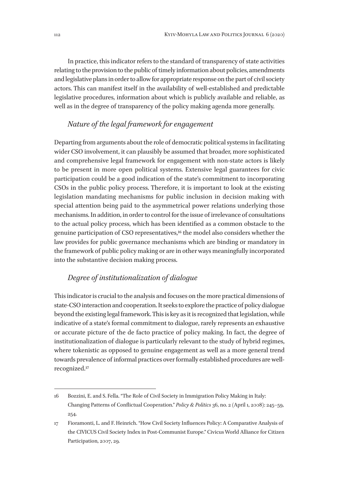In practice, this indicator refers to the standard of transparency of state activities relating to the provision to the public of timely information about policies, amendments and legislative plans in order to allow for appropriate response on the part of civil society actors. This can manifest itself in the availability of well-established and predictable legislative procedures, information about which is publicly available and reliable, as well as in the degree of transparency of the policy making agenda more generally.

# *Nature of the legal framework for engagement*

Departing from arguments about the role of democratic political systems in facilitating wider CSO involvement, it can plausibly be assumed that broader, more sophisticated and comprehensive legal framework for engagement with non-state actors is likely to be present in more open political systems. Extensive legal guarantees for civic participation could be a good indication of the state's commitment to incorporating CSOs in the public policy process. Therefore, it is important to look at the existing legislation mandating mechanisms for public inclusion in decision making with special attention being paid to the asymmetrical power relations underlying those mechanisms. In addition, in order to control for the issue of irrelevance of consultations to the actual policy process, which has been identified as a common obstacle to the genuine participation of CSO representatives,16 the model also considers whether the law provides for public governance mechanisms which are binding or mandatory in the framework of public policy making or are in other ways meaningfully incorporated into the substantive decision making process.

### *Degree of institutionalization of dialogue*

This indicator is crucial to the analysis and focuses on the more practical dimensions of state-CSO interaction and cooperation. It seeks to explore the practice of policy dialogue beyond the existing legal framework. This is key as it is recognized that legislation, while indicative of a state's formal commitment to dialogue, rarely represents an exhaustive or accurate picture of the de facto practice of policy making. In fact, the degree of institutionalization of dialogue is particularly relevant to the study of hybrid regimes, where tokenistic as opposed to genuine engagement as well as a more general trend towards prevalence of informal practices over formally established procedures are wellrecognized.17

<sup>16</sup> Bozzini, E. and S. Fella. "The Role of Civil Society in Immigration Policy Making in Italy: Changing Patterns of Conflictual Cooperation." *Policy & Politics* 36, no. 2 (April 1, 2008): 245–59, 254.

<sup>17</sup> Fioramonti, L. and F. Heinrich. "How Civil Society Influences Policy: A Comparative Analysis of the CIVICUS Civil Society Index in Post-Communist Europe." Civicus World Alliance for Citizen Participation, 2007, 29.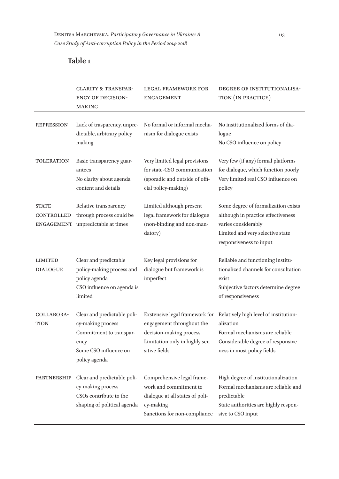# **Table 1**

|                                                  | <b>CLARITY &amp; TRANSPAR-</b><br><b>ENCY OF DECISION-</b><br><b>MAKING</b>                                                   | <b>LEGAL FRAMEWORK FOR</b><br><b>ENGAGEMENT</b>                                                                                           | DEGREE OF INSTITUTIONALISA-<br>TION (IN PRACTICE)                                                                                                               |
|--------------------------------------------------|-------------------------------------------------------------------------------------------------------------------------------|-------------------------------------------------------------------------------------------------------------------------------------------|-----------------------------------------------------------------------------------------------------------------------------------------------------------------|
| <b>REPRESSION</b>                                | Lack of trasparency, unpre-<br>dictable, arbitrary policy<br>making                                                           | No formal or informal mecha-<br>nism for dialogue exists                                                                                  | No institutionalized forms of dia-<br>logue<br>No CSO influence on policy                                                                                       |
| <b>TOLERATION</b>                                | Basic transparency guar-<br>antees<br>No clarity about agenda<br>content and details                                          | Very limited legal provisions<br>for state-CSO communication<br>(sporadic and outside of offi-<br>cial policy-making)                     | Very few (if any) formal platforms<br>for dialogue, which function poorly<br>Very limited real CSO influence on<br>policy                                       |
| STATE-<br><b>CONTROLLED</b><br><b>ENGAGEMENT</b> | Relative transparency<br>through process could be<br>unpredictable at times                                                   | Limited although present<br>legal framework for dialogue<br>(non-binding and non-man-<br>datory)                                          | Some degree of formalization exists<br>although in practice effectiveness<br>varies considerably<br>Limited and very selective state<br>responsiveness to input |
| <b>LIMITED</b><br><b>DIALOGUE</b>                | Clear and predictable<br>policy-making process and<br>policy agenda<br>CSO influence on agenda is<br>limited                  | Key legal provisions for<br>dialogue but framework is<br>imperfect                                                                        | Reliable and functioning institu-<br>tionalized channels for consultation<br>exist<br>Subjective factors determine degree<br>of responsiveness                  |
| COLLABORA-<br>TION                               | Clear and predictable poli-<br>cy-making process<br>Commitment to transpar-<br>ency<br>Some CSO influence on<br>policy agenda | Exstensive legal framework for<br>engagement throughout the<br>decision-making process<br>Limitation only in highly sen-<br>sitive fields | Relatively high level of institution-<br>alization<br>Formal mechanisms are reliable<br>Considerable degree of responsive-<br>ness in most policy fields        |
| <b>PARTNERSHIP</b>                               | Clear and predictable poli-<br>cy-making process<br>CSOs contribute to the<br>shaping of political agenda                     | Comprehensive legal frame-<br>work and commitment to<br>dialogue at all states of poli-<br>cy-making<br>Sanctions for non-compliance      | High degree of institutionalization<br>Formal mechanisms are reliable and<br>predictable<br>State authorities are highly respon-<br>sive to CSO input           |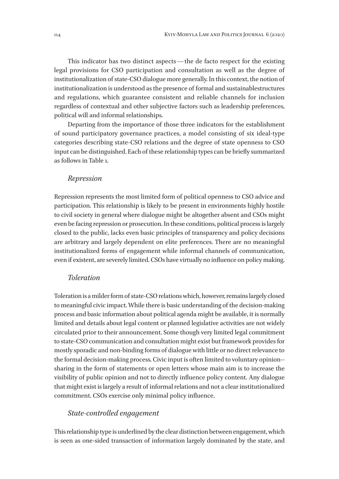This indicator has two distinct aspects—the de facto respect for the existing legal provisions for CSO participation and consultation as well as the degree of institutionalization of state-CSO dialogue more generally. In this context, the notion of institutionalization is understood as the presence of formal and sustainablestructures and regulations, which guarantee consistent and reliable channels for inclusion regardless of contextual and other subjective factors such as leadership preferences, political will and informal relationships.

Departing from the importance of those three indicators for the establishment of sound participatory governance practices, a model consisting of six ideal-type categories describing state-CSO relations and the degree of state openness to CSO input can be distinguished. Each of these relationship types can be briefly summarized as follows in Table 1.

#### *Repression*

Repression represents the most limited form of political openness to CSO advice and participation. This relationship is likely to be present in environments highly hostile to civil society in general where dialogue might be altogether absent and CSOs might even be facing repression or prosecution. In these conditions, political process is largely closed to the public, lacks even basic principles of transparency and policy decisions are arbitrary and largely dependent on elite preferences. There are no meaningful institutionalized forms of engagement while informal channels of communication, even if existent, are severely limited. CSOs have virtually no influence on policy making.

#### *Toleration*

Toleration is a milder form of state-CSO relations which, however, remains largely closed to meaningful civic impact. While there is basic understanding of the decision-making process and basic information about political agenda might be available, it is normally limited and details about legal content or planned legislative activities are not widely circulated prior to their announcement. Some though very limited legal commitment to state-CSO communication and consultation might exist but framework provides for mostly sporadic and non-binding forms of dialogue with little or no direct relevance to the formal decision-making process. Civic input is often limited to voluntary opinion- sharing in the form of statements or open letters whose main aim is to increase the visibility of public opinion and not to directly influence policy content. Any dialogue that might exist is largely a result of informal relations and not a clear institutionalized commitment. CSOs exercise only minimal policy influence.

### *State-controlled engagement*

This relationship type is underlined by the clear distinction between engagement, which is seen as one-sided transaction of information largely dominated by the state, and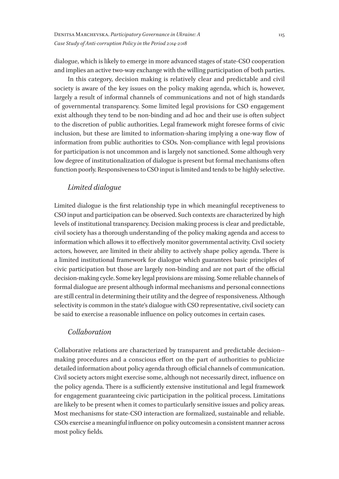dialogue, which is likely to emerge in more advanced stages of state-CSO cooperation and implies an active two-way exchange with the willing participation of both parties.

In this category, decision making is relatively clear and predictable and civil society is aware of the key issues on the policy making agenda, which is, however, largely a result of informal channels of communications and not of high standards of governmental transparency. Some limited legal provisions for CSO engagement exist although they tend to be non-binding and ad hoc and their use is often subject to the discretion of public authorities. Legal framework might foresee forms of civic inclusion, but these are limited to information-sharing implying a one-way flow of information from public authorities to CSOs. Non-compliance with legal provisions for participation is not uncommon and is largely not sanctioned. Some although very low degree of institutionalization of dialogue is present but formal mechanisms often function poorly. Responsiveness to CSO input is limited and tends to be highly selective.

# *Limited dialogue*

Limited dialogue is the first relationship type in which meaningful receptiveness to CSO input and participation can be observed. Such contexts are characterized by high levels of institutional transparency. Decision making process is clear and predictable, civil society has a thorough understanding of the policy making agenda and access to information which allows it to effectively monitor governmental activity. Civil society actors, however, are limited in their ability to actively shape policy agenda. There is a limited institutional framework for dialogue which guarantees basic principles of civic participation but those are largely non-binding and are not part of the official decision-making cycle. Some key legal provisions are missing. Some reliable channels of formal dialogue are present although informal mechanisms and personal connections are still central in determining their utility and the degree of responsiveness. Although selectivity is common in the state's dialogue with CSO representative, civil society can be said to exercise a reasonable influence on policy outcomes in certain cases.

#### *Collaboration*

Collaborative relations are characterized by transparent and predictable decision- making procedures and a conscious effort on the part of authorities to publicize detailed information about policy agenda through official channels of communication. Civil society actors might exercise some, although not necessarily direct, influence on the policy agenda. There is a sufficiently extensive institutional and legal framework for engagement guaranteeing civic participation in the political process. Limitations are likely to be present when it comes to particularly sensitive issues and policy areas. Most mechanisms for state-CSO interaction are formalized, sustainable and reliable. CSOs exercise a meaningful influence on policy outcomesin a consistent manner across most policy fields.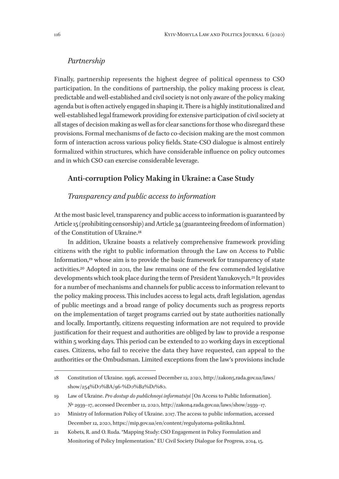#### *Partnership*

Finally, partnership represents the highest degree of political openness to CSO participation. In the conditions of partnership, the policy making process is clear, predictable and well-established and civil society is not only aware of the policy making agenda but is often actively engaged in shaping it. There is a highly institutionalized and well-established legal framework providing for extensive participation of civil society at all stages of decision making as well as for clear sanctions for those who disregard these provisions. Formal mechanisms of de facto co-decision making are the most common form of interaction across various policy fields. State-CSO dialogue is almost entirely formalized within structures, which have considerable influence on policy outcomes and in which CSO can exercise considerable leverage.

# **Anti-corruption Policy Making in Ukraine: a Case Study**

### *Transparency and public access to information*

At the most basic level, transparency and public access to information is guaranteed by Article 15 (prohibiting censorship) and Article 34 (guaranteeing freedom of information) of the Constitution of Ukraine.18

In addition, Ukraine boasts a relatively comprehensive framework providing citizens with the right to public information through the Law on Access to Public Information,19 whose aim is to provide the basic framework for transparency of state activities.20 Adopted in 2011, the law remains one of the few commended legislative developments which took place during the term of President Yanukovych.21 It provides for a number of mechanisms and channels for public access to information relevant to the policy making process. This includes access to legal acts, draft legislation, agendas of public meetings and a broad range of policy documents such as progress reports on the implementation of target programs carried out by state authorities nationally and locally. Importantly, citizens requesting information are not required to provide justification for their request and authorities are obliged by law to provide a response within 5 working days. This period can be extended to 20 working days in exceptional cases. Citizens, who fail to receive the data they have requested, can appeal to the authorities or the Ombudsman. Limited exceptions from the law's provisions include

<sup>18</sup> Constitution of Ukraine. 1996, accessed December 12, 2020, http://zakon5.rada.gov.ua/laws/ show/254%D0%BA/96-%D0%B2%D1%80.

<sup>19</sup> Law of Ukraine. *Pro dostup do publichnoyi informatsiyi* [On Access to Public Information]. № 2939–17, accessed December 12, 2020, http://zakon4.rada.gov.ua/laws/show/2939–17.

<sup>20</sup> Ministry of Information Policy of Ukraine. 2017. The access to public information, accessed December 12, 2020, https://mip.gov.ua/en/content/regulyatorna-politika.html.

<sup>21</sup> Kobets, R. and O. Ruda. "Mapping Study: CSO Engagement in Policy Formulation and Monitoring of Policy Implementation." EU Civil Society Dialogue for Progress, 2014, 15.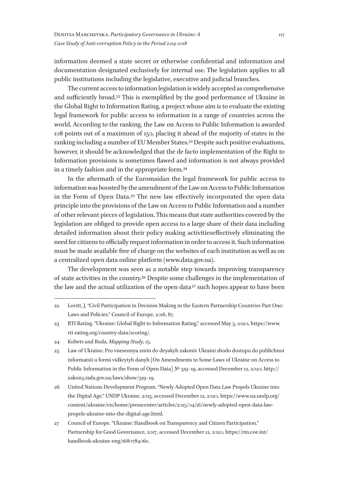information deemed a state secret or otherwise confidential and information and documentation designated exclusively for internal use. The legislation applies to all public institutions including the legislative, executive and judicial branches.

The current access to information legislation is widely accepted as comprehensive and sufficiently broad.22 This is exemplified by the good performance of Ukraine in the Global Right to Information Rating, a project whose aim is to evaluate the existing legal framework for public access to information in a range of countries across the world. According to the ranking, the Law on Access to Public Information is awarded 108 points out of a maximum of 150, placing it ahead of the majority of states in the ranking including a number of EU Member States.23 Despite such positive evaluations, however, it should be acknowledged that the de facto implementation of the Right to Information provisions is sometimes flawed and information is not always provided in a timely fashion and in the appropriate form.24

In the aftermath of the Euromaidan the legal framework for public access to information was boosted by the amendment of the Law on Access to Public Information in the Form of Open Data.25 The new law effectively incorporated the open data principle into the provisions of the Law on Access to Public Information and a number of other relevant pieces of legislation. This means that state authorities covered by the legislation are obliged to provide open access to a large share of their data including detailed information about their policy making activitieseffectively eliminating the need for citizens to officially request information in order to access it. Such information must be made available free of charge on the websites of each institution as well as on a centralized open data online platform (www.data.gov.ua).

The development was seen as a notable step towards improving transparency of state activities in the country.26 Despite some challenges in the implementation of the law and the actual utilization of the open data 27 such hopes appear to have been

- 25 Law of Ukraine. Pro vnesennya zmin do deyakyh zakoniv Ukraini shodo dostupu do publichnoi informatsii u formi vidkrytyh danyh [On Amendments to Some Laws of Ukraine on Access to Public Information in the Form of Open Data] № 319–19, accessed December 12, 2020, http:// zakon5.rada.gov.ua/laws/show/319–19.
- 26 United Nations Development Program. "Newly Adopted Open Data Law Propels Ukraine into the Digital Age." UNDP Ukraine, 2015, accessed December 12, 2020, https://www.ua.undp.org/ content/ukraine/en/home/presscenter/articles/2015/04/16/newly-adopted-open-data-lawpropels-ukraine-into-the-digital-age.html.
- 27 Council of Europe. "Ukraine: Handbook on Transparency and Citizen Participation." Partnership for Good Governance, 2017, accessed December 12, 2020, https://rm.coe.int/ handbook-ukraine-eng/168078406c.

<sup>22</sup> Lovitt, J. "Civil Participation in Decision Making in the Eastern Partnership Countries Part One: Laws and Policies." Council of Europe, 2016, 87.

<sup>23</sup> RTI Rating. "Ukraine: Global Right to Information Rating," accessed May 3, 2020, https://www. rti-rating.org/country-data/scoring/.

<sup>24</sup> Kobets and Ruda, *Mapping Study*, 15.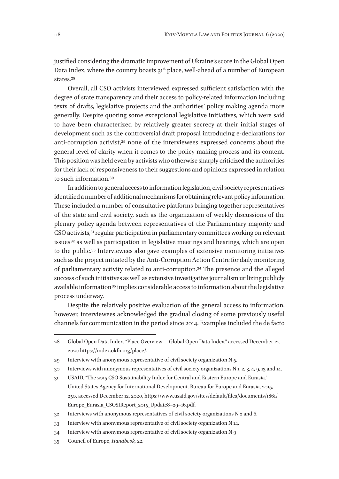justified considering the dramatic improvement of Ukraine's score in the Global Open Data Index, where the country boasts 31<sup>st</sup> place, well-ahead of a number of European states.28

Overall, all CSO activists interviewed expressed sufficient satisfaction with the degree of state transparency and their access to policy-related information including texts of drafts, legislative projects and the authorities' policy making agenda more generally. Despite quoting some exceptional legislative initiatives, which were said to have been characterized by relatively greater secrecy at their initial stages of development such as the controversial draft proposal introducing e-declarations for anti-corruption activist,29 none of the interviewees expressed concerns about the general level of clarity when it comes to the policy making process and its content. This position was held even by activists who otherwise sharply criticized the authorities for their lack of responsiveness to their suggestions and opinions expressed in relation to such information.30

In addition to general access to information legislation, civil society representatives identified a number of additional mechanisms for obtaining relevant policy information. These included a number of consultative platforms bringing together representatives of the state and civil society, such as the organization of weekly discussions of the plenary policy agenda between representatives of the Parliamentary majority and CSO activists,31 regular participation in parliamentary committees working on relevant issues<sup>32</sup> as well as participation in legislative meetings and hearings, which are open to the public.33 Interviewees also gave examples of extensive monitoring initiatives such as the project initiated by the Anti-Corruption Action Centre for daily monitoring of parliamentary activity related to anti-corruption.34 The presence and the alleged success of such initiatives as well as extensive investigative journalism utilizing publicly available information<sup>35</sup> implies considerable access to information about the legislative process underway.

Despite the relatively positive evaluation of the general access to information, however, interviewees acknowledged the gradual closing of some previously useful channels for communication in the period since 2014. Examples included the de facto

35 Council of Europe, *Handbook,* 22.

<sup>28</sup> Global Open Data Index. "Place Overview—Global Open Data Index," accessed December 12, 2020 https://index.okfn.org/place/.

<sup>29</sup> Interview with anonymous representative of civil society organization N 5.

<sup>30</sup> Interviews with anonymous representatives of civil society organizations N 1, 2, 3, 4, 9, 13 and 14.

<sup>31</sup> USAID. "The 2015 CSO Sustainability Index for Central and Eastern Europe and Eurasia." United States Agency for International Development. Bureau for Europe and Eurasia, 2015, 250, accessed December 12, 2020, https://www.usaid.gov/sites/default/files/documents/1861/ Europe\_Eurasia\_CSOSIReport\_2015\_Update8–29–16.pdf.

<sup>32</sup> Interviews with anonymous representatives of civil society organizations N 2 and 6.

<sup>33</sup> Interview with anonymous representative of civil society organization N 14.

<sup>34</sup> Interview with anonymous representative of civil society organization N 9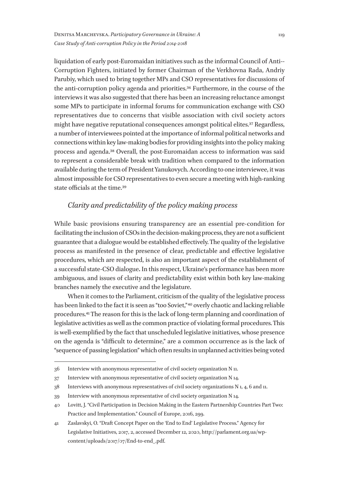liquidation of early post-Euromaidan initiatives such as the informal Council of Anti- - Corruption Fighters, initiated by former Chairman of the Verkhovna Rada, Andriy Parubiy, which used to bring together MPs and CSO representatives for discussions of the anti-corruption policy agenda and priorities.36 Furthermore, in the course of the interviews it was also suggested that there has been an increasing reluctance amongst some MPs to participate in informal forums for communication exchange with CSO representatives due to concerns that visible association with civil society actors might have negative reputational consequences amongst political elites.37 Regardless, a number of interviewees pointed at the importance of informal political networks and connections within key law-making bodies for providing insights into the policy making process and agenda.38 Overall, the post-Euromaidan access to information was said to represent a considerable break with tradition when compared to the information available during the term of President Yanukovych. According to one interviewee, it was almost impossible for CSO representatives to even secure a meeting with high-ranking state officials at the time.39

# *Clarity and predictability of the policy making process*

While basic provisions ensuring transparency are an essential pre-condition for facilitating the inclusion of CSOs in the decision-making process, they are not a sufficient guarantee that a dialogue would be established effectively. The quality of the legislative process as manifested in the presence of clear, predictable and effective legislative procedures, which are respected, is also an important aspect of the establishment of a successful state-CSO dialogue**.** In this respect, Ukraine's performance has been more ambiguous, and issues of clarity and predictability exist within both key law-making branches namely the executive and the legislature.

When it comes to the Parliament, criticism of the quality of the legislative process has been linked to the fact it is seen as "too Soviet,"<sup>40</sup> overly chaotic and lacking reliable procedures.41 The reason for this is the lack of long-term planning and coordination of legislative activities as well as the common practice of violating formal procedures. This is well-exemplified by the fact that unscheduled legislative initiatives, whose presence on the agenda is "difficult to determine," are a common occurrence as is the lack of "sequence of passing legislation" which often results in unplanned activities being voted

<sup>36</sup> Interview with anonymous representative of civil society organization N 11.

<sup>37</sup> Interview with anonymous representative of civil society organization N 14.

<sup>38</sup> Interviews with anonymous representatives of civil society organizations N 1, 4, 6 and 11.

<sup>39</sup> Interview with anonymous representative of civil society organization N 14.

<sup>40</sup> Lovitt, J. "Civil Participation in Decision Making in the Eastern Partnership Countries Part Two: Practice and Implementation." Council of Europe, 2016, 299.

<sup>41</sup> Zaslavskyi, O. "Draft Concept Paper on the 'End to End' Legislative Process." Agency for Legislative Initiatives, 2017, 2, accessed December 12, 2020, http://parlament.org.ua/wpcontent/uploads/2017/07/End-to-end\_.pdf.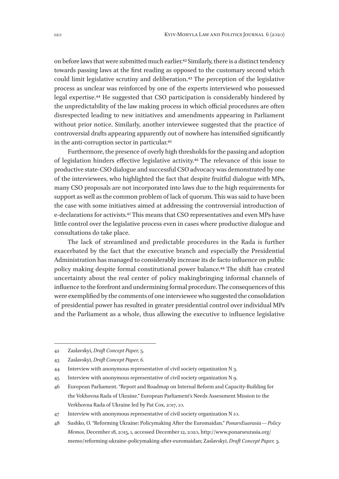on before laws that were submitted much earlier.42 Similarly, there is a distinct tendency towards passing laws at the first reading as opposed to the customary second which could limit legislative scrutiny and deliberation.43 The perception of the legislative process as unclear was reinforced by one of the experts interviewed who possessed legal expertise.44 He suggested that CSO participation is considerably hindered by the unpredictability of the law making process in which official procedures are often disrespected leading to new initiatives and amendments appearing in Parliament without prior notice. Similarly, another interviewee suggested that the practice of controversial drafts appearing apparently out of nowhere has intensified significantly in the anti-corruption sector in particular.45

Furthermore, the presence of overly high thresholds for the passing and adoption of legislation hinders effective legislative activity.46 The relevance of this issue to productive state-CSO dialogue and successful CSO advocacy was demonstrated by one of the interviewees, who highlighted the fact that despite fruitful dialogue with MPs, many CSO proposals are not incorporated into laws due to the high requirements for support as well as the common problem of lack of quorum. This was said to have been the case with some initiatives aimed at addressing the controversial introduction of e-declarations for activists.47 This means that CSO representatives and even MPs have little control over the legislative process even in cases where productive dialogue and consultations do take place.

The lack of streamlined and predictable procedures in the Rada is further exacerbated by the fact that the executive branch and especially the Presidential Administration has managed to considerably increase its de facto influence on public policy making despite formal constitutional power balance.48 The shift has created uncertainty about the real center of policy makingbringing informal channels of influence to the forefront and undermining formal procedure. The consequences of this were exemplified by the comments of one interviewee who suggested the consolidation of presidential power has resulted in greater presidential control over individual MPs and the Parliament as a whole, thus allowing the executive to influence legislative

<sup>42</sup> Zaslavskyi, *Draft Concept Paper,* 5.

<sup>43</sup> Zaslavskyi, *Draft Concept Paper, 6.*

<sup>44</sup> Interview with anonymous representative of civil society organization N 3.

<sup>45</sup> Interview with anonymous representative of civil society organization N 9.

<sup>46</sup> European Parliament. "Report and Roadmap on Internal Reform and Capacity-Building for the Vekhovna Rada of Ukraine." European Parliament's Needs Assessment Mission to the Verkhovna Rada of Ukraine led by Pat Cox, 2017, 10.

<sup>47</sup> Interview with anonymous representative of civil society organization N 10.

<sup>48</sup> Sushko, O. "Reforming Ukraine: Policymaking After the Euromaidan." *PonarsEuarasia—Policy Memos*, December 18, 2015, 1, accessed December 12, 2020, http://www.ponarseurasia.org/ memo/reforming-ukraine-policymaking-after-euromaidan; Zaslavskyi, *Draft Concept Paper,* 3.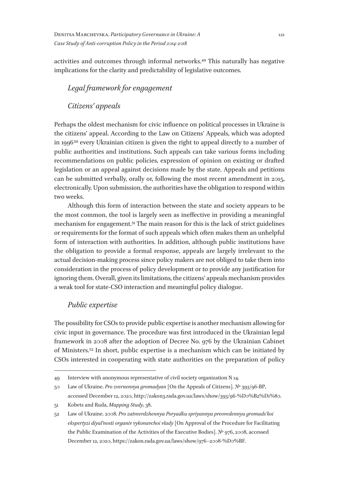activities and outcomes through informal networks.49 This naturally has negative implications for the clarity and predictability of legislative outcomes.

# *Legal framework for engagement*

*Citizens' appeals*

Perhaps the oldest mechanism for civic influence on political processes in Ukraine is the citizens' appeal. According to the Law on Citizens' Appeals, which was adopted in 1996 $50$  every Ukrainian citizen is given the right to appeal directly to a number of public authorities and institutions. Such appeals can take various forms including recommendations on public policies, expression of opinion on existing or drafted legislation or an appeal against decisions made by the state. Appeals and petitions can be submitted verbally, orally or, following the most recent amendment in 2015, electronically. Upon submission, the authorities have the obligation to respond within two weeks.

Although this form of interaction between the state and society appears to be the most common, the tool is largely seen as ineffective in providing a meaningful mechanism for engagement.51 The main reason for this is the lack of strict guidelines or requirements for the format of such appeals which often makes them an unhelpful form of interaction with authorities. In addition, although public institutions have the obligation to provide a formal response, appeals are largely irrelevant to the actual decision-making process since policy makers are not obliged to take them into consideration in the process of policy development or to provide any justification for ignoring them. Overall, given its limitations, the citizens' appeals mechanism provides a weak tool for state-CSO interaction and meaningful policy dialogue.

# *Public expertise*

The possibility for CSOs to provide public expertise is another mechanism allowing for civic input in governance. The procedure was first introduced in the Ukrainian legal framework in 2008 after the adoption of Decree No. 976 by the Ukrainian Cabinet of Ministers.52 In short, public expertise is a mechanism which can be initiated by CSOs interested in cooperating with state authorities on the preparation of policy

<sup>49</sup> Interview with anonymous representative of civil society organization N 14.

<sup>50</sup> Law of Ukraine. *Pro zvernennya gromadyan* [On the Appeals of Citizens]. № 393/96-ВР, accessed December 12, 2020, http://zakon3.rada.gov.ua/laws/show/393/96-%D0%B2%D1%80.

<sup>51</sup> Kobets and Ruda, *Mapping Study*, 38.

<sup>52</sup> Law of Ukraine. 2008. *Pro zatveerdzhennya Poryadku spriyannya preovedennyu gromads'koi ekspertyzi diyal'nosti organiv vykonavchoi vlady* [On Approval of the Procedure for Facilitating the Public Examination of the Activities of the Executive Bodies]. № 976, 2008, accessed December 12, 2020, https://zakon.rada.gov.ua/laws/show/976–2008-%D0%BF.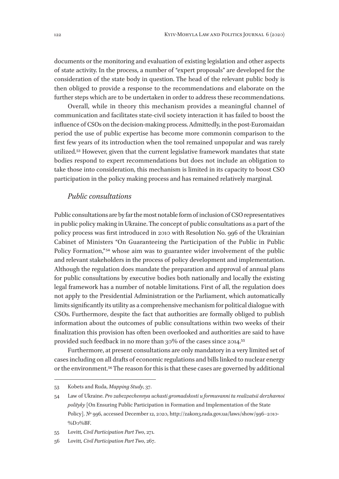documents or the monitoring and evaluation of existing legislation and other aspects of state activity. In the process, a number of "expert proposals" are developed for the consideration of the state body in question. The head of the relevant public body is then obliged to provide a response to the recommendations and elaborate on the further steps which are to be undertaken in order to address these recommendations.

Overall, while in theory this mechanism provides a meaningful channel of communication and facilitates state-civil society interaction it has failed to boost the influence of CSOs on the decision-making process. Admittedly, in the post-Euromaidan period the use of public expertise has become more commonin comparison to the first few years of its introduction when the tool remained unpopular and was rarely utilized.53 However, given that the current legislative framework mandates that state bodies respond to expert recommendations but does not include an obligation to take those into consideration, this mechanism is limited in its capacity to boost CSO participation in the policy making process and has remained relatively marginal.

# *Public consultations*

Public consultations are by far the most notable form of inclusion of CSO representatives in public policy making in Ukraine. The concept of public consultations as a part of the policy process was first introduced in 2010 with Resolution No. 996 of the Ukrainian Cabinet of Ministers "On Guaranteeing the Participation of the Public in Public Policy Formation,"<sup>54</sup> whose aim was to guarantee wider involvement of the public and relevant stakeholders in the process of policy development and implementation. Although the regulation does mandate the preparation and approval of annual plans for public consultations by executive bodies both nationally and locally the existing legal framework has a number of notable limitations. First of all, the regulation does not apply to the Presidential Administration or the Parliament, which automatically limits significantly its utility as a comprehensive mechanism for political dialogue with CSOs. Furthermore, despite the fact that authorities are formally obliged to publish information about the outcomes of public consultations within two weeks of their finalization this provision has often been overlooked and authorities are said to have provided such feedback in no more than 30% of the cases since 2014.55

Furthermore, at present consultations are only mandatory in a very limited set of cases including on all drafts of economic regulations and bills linked to nuclear energy or the environment.56 The reason for this is that these cases are governed by additional

<sup>53</sup> Kobets and Ruda, *Mapping Study*, 37.

<sup>54</sup> Law of Ukraine. *Pro zabezpechennya uchasti gromadskosti u formuvanni ta realizatsii derzhavnoi polityky* [On Ensuring Public Participation in Formation and Implementation of the State Policy]. № 996, accessed December 12, 2020, http://zakon3.rada.gov.ua/laws/show/996-2010-%D0%BF.

<sup>55</sup> Lovitt*, Civil Participation Part Two*, 271.

<sup>56</sup> Lovitt*, Civil Participation Part Two*, 267.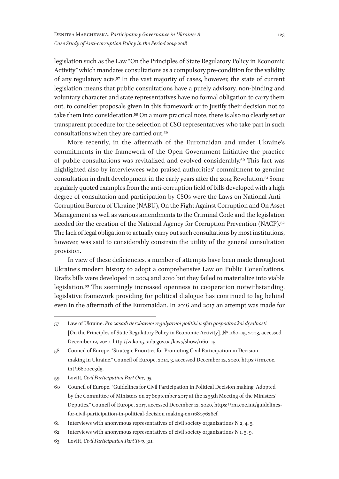legislation such as the Law "On the Principles of State Regulatory Policy in Economic Activity" which mandates consultations as a compulsory pre-condition for the validity of any regulatory acts.57 In the vast majority of cases, however, the state of current legislation means that public consultations have a purely advisory, non-binding and voluntary character and state representatives have no formal obligation to carry them out, to consider proposals given in this framework or to justify their decision not to take them into consideration.58 On a more practical note, there is also no clearly set or transparent procedure for the selection of CSO representatives who take part in such consultations when they are carried out.59

More recently, in the aftermath of the Euromaidan and under Ukraine's commitments in the framework of the Open Government Initiative the practice of public consultations was revitalized and evolved considerably.60 This fact was highlighted also by interviewees who praised authorities' commitment to genuine consultation in draft development in the early years after the 2014 Revolution.61 Some regularly quoted examples from the anti-corruption field of bills developed with a high degree of consultation and participation by CSOs were the Laws on National Anti- - Corruption Bureau of Ukraine (NABU), On the Fight Against Corruption and On Asset Management as well as various amendments to the Criminal Code and the legislation needed for the creation of the National Agency for Corruption Prevention (NACP).<sup>62</sup> The lack of legal obligation to actually carry out such consultations by most institutions, however, was said to considerably constrain the utility of the general consultation provision.

In view of these deficiencies, a number of attempts have been made throughout Ukraine's modern history to adopt a comprehensive Law on Public Consultations. Drafts bills were developed in 2004 and 2010 but they failed to materialize into viable legislation.<sup>63</sup> The seemingly increased openness to cooperation notwithstanding, legislative framework providing for political dialogue has continued to lag behind even in the aftermath of the Euromaidan. In 2016 and 2017 an attempt was made for

<sup>57</sup> Law of Ukraine. *Pro zasadi derzhavnoi regulyarnoi politiki u sferi gospodars'koi diyalnosti* [On the Principles of State Regulatory Policy in Economic Activity]. № 1160–15, 2003, accessed December 12, 2020, http://zakon5.rada.gov.ua/laws/show/1160–15.

<sup>58</sup> Council of Europe. "Strategic Priorities for Promoting Civil Participation in Decision making in Ukraine." Council of Europe, 2014, 3, accessed December 12, 2020, https://rm.coe. int/16800cc3d5.

<sup>59</sup> Lovitt, *Civil Participation Part One, 95.*

<sup>60</sup> Council of Europe. "Guidelines for Civil Participation in Political Decision making. Adopted by the Committee of Ministers on 27 September 2017 at the 1295th Meeting of the Ministers' Deputies." Council of Europe, 2017, accessed December 12, 2020, https://rm.coe.int/guidelinesfor-civil-participation-in-political-decision making-en/16807626cf.

<sup>61</sup> Interviews with anonymous representatives of civil society organizations N 2, 4, 5.

<sup>62</sup> Interviews with anonymous representatives of civil society organizations N 1, 5, 9.

<sup>63</sup> Lovitt, *Civil Participation Part Two,* 311.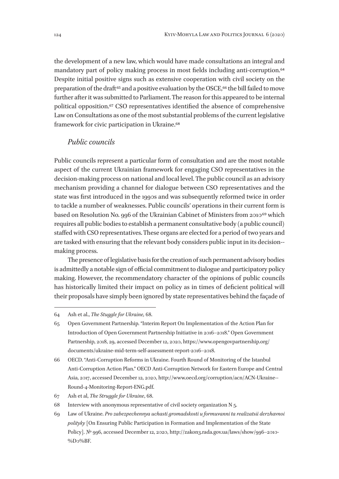the development of a new law, which would have made consultations an integral and mandatory part of policy making process in most fields including anti-corruption.<sup>64</sup> Despite initial positive signs such as extensive cooperation with civil society on the preparation of the draft<sup>65</sup> and a positive evaluation by the OSCE,<sup>66</sup> the bill failed to move further after it was submitted to Parliament. The reason for this appeared to be internal political opposition.67 CSO representatives identified the absence of comprehensive Law on Consultations as one of the most substantial problems of the current legislative framework for civic participation in Ukraine.68

#### *Public councils*

Public councils represent a particular form of consultation and are the most notable aspect of the current Ukrainian framework for engaging CSO representatives in the decision-making process on national and local level. The public council as an advisory mechanism providing a channel for dialogue between CSO representatives and the state was first introduced in the 1990s and was subsequently reformed twice in order to tackle a number of weaknesses. Public councils' operations in their current form is based on Resolution No. 996 of the Ukrainian Cabinet of Ministers from 2010 69 which requires all public bodies to establish a permanent consultative body (a public council) staffed with CSO representatives. These organs are elected for a period of two years and are tasked with ensuring that the relevant body considers public input in its decision- making process.

The presence of legislative basis for the creation of such permanent advisory bodies is admittedly a notable sign of official commitment to dialogue and participatory policy making. However, the recommendatory character of the opinions of public councils has historically limited their impact on policy as in times of deficient political will their proposals have simply been ignored by state representatives behind the façade of

<sup>64</sup> Ash et al., *The Stuggle for Ukraine,* 68.

<sup>65</sup> Open Government Partnership. "Interim Report On Implementation of the Action Plan for Introduction of Open Government Partnership Initiative in 2016–2018." Open Government Partnership, 2018, 29, accessed December 12, 2020, https://www.opengovpartnership.org/ documents/ukraine-mid-term-self-assessment-report-2016-2018.

<sup>66</sup> OECD. "Anti-Corruption Reforms in Ukraine. Fourth Round of Monitoring of the Istanbul Anti-Corruption Action Plan." OECD Anti-Corruption Network for Eastern Europe and Central Asia, 2017, accessed December 12, 2020, http://www.oecd.org/corruption/acn/ACN-Ukraine--Round-4-Monitoring-Report-ENG.pdf.

<sup>67</sup> Ash et al, *The Struggle for Ukraine*, 68.

<sup>68</sup> Interview with anonymous representative of civil society organization N 5.

<sup>69</sup> Law of Ukraine. *Pro zabezpechennya uchasti gromadskosti u formuvanni ta realizatsii derzhavnoi polityky* [On Ensuring Public Participation in Formation and Implementation of the State Policy]. № 996, accessed December 12, 2020, http://zakon3.rada.gov.ua/laws/show/996-2010-%D0%BF.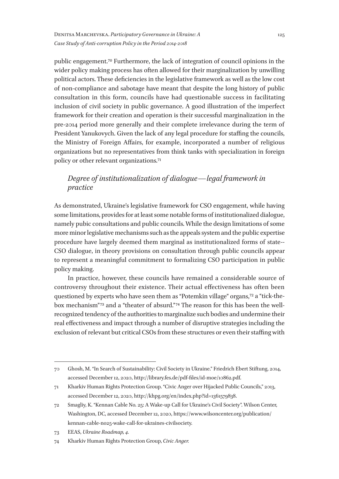public engagement.70 Furthermore, the lack of integration of council opinions in the wider policy making process has often allowed for their marginalization by unwilling political actors. These deficiencies in the legislative framework as well as the low cost of non-compliance and sabotage have meant that despite the long history of public consultation in this form, councils have had questionable success in facilitating inclusion of civil society in public governance. A good illustration of the imperfect framework for their creation and operation is their successful marginalization in the pre-2014 period more generally and their complete irrelevance during the term of President Yanukovych. Given the lack of any legal procedure for staffing the councils, the Ministry of Foreign Affairs, for example, incorporated a number of religious organizations but no representatives from think tanks with specialization in foreign policy or other relevant organizations.71

# *Degree of institutionalization of dialogue—legal framework in practice*

As demonstrated, Ukraine's legislative framework for CSO engagement, while having some limitations, provides for at least some notable forms of institutionalized dialogue, namely pubic consultations and public councils. While the design limitations of some more minor legislative mechanisms such as the appeals system and the public expertise procedure have largely deemed them marginal as institutionalized forms of state- - CSO dialogue, in theory provisions on consultation through public councils appear to represent a meaningful commitment to formalizing CSO participation in public policy making.

In practice, however, these councils have remained a considerable source of controversy throughout their existence. Their actual effectiveness has often been questioned by experts who have seen them as "Potemkin village" organs,72 a "tick-thebox mechanism"<sup>73</sup> and a "theater of absurd."<sup>74</sup> The reason for this has been the wellrecognized tendency of the authorities to marginalize such bodies and undermine their real effectiveness and impact through a number of disruptive strategies including the exclusion of relevant but critical CSOs from these structures or even their staffing with

<sup>70</sup> Ghosh, M. "In Search of Sustainability: Civil Society in Ukraine." Friedrich Ebert Stiftung, 2014, accessed December 12, 2020, http://library.fes.de/pdf-files/id-moe/10862.pdf.

<sup>71</sup> Kharkiv Human Rights Protection Group. "Civic Anger over Hijacked Public Councils," 2013, accessed December 12, 2020, http://khpg.org/en/index.php?id=1361579838.

<sup>72</sup> Smagliy, K. "Kennan Cable No. 25: A Wake-up Call for Ukraine's Civil Society". Wilson Center, Washington, DC, accessed December 12, 2020, https://www.wilsoncenter.org/publication/ kennan-cable-no25-wake-call-for-ukraines-civilsociety.

<sup>73</sup> EEAS, *Ukraine Roadmap, 4.*

<sup>74</sup> Kharkiv Human Rights Protection Group, *Civic Anger.*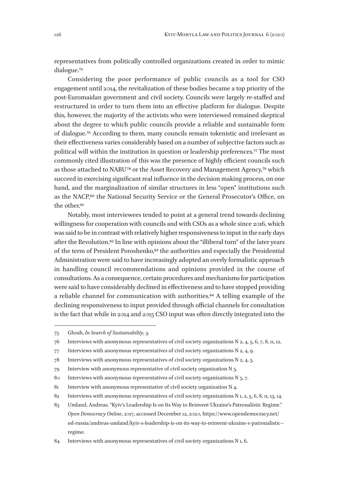representatives from politically controlled organizations created in order to mimic dialogue.75

Considering the poor performance of public councils as a tool for CSO engagement until 2014, the revitalization of these bodies became a top priority of the post-Euromaidan government and civil society. Councils were largely re-staffed and restructured in order to turn them into an effective platform for dialogue. Despite this, however, the majority of the activists who were interviewed remained skeptical about the degree to which public councils provide a reliable and sustainable form of dialogue.76 According to them, many councils remain tokenistic and irrelevant as their effectiveness varies considerably based on a number of subjective factors such as political will within the institution in question or leadership preferences.77 The most commonly cited illustration of this was the presence of highly efficient councils such as those attached to NABU<sup>78</sup> or the Asset Recovery and Management Agency,<sup>79</sup> which succeed in exercising significant real influence in the decision making process, on one hand, and the marginalization of similar structures in less "open" institutions such as the NACP,80 the National Security Service or the General Prosecutor's Office, on the other.81

Notably, most interviewees tended to point at a general trend towards declining willingness for cooperation with councils and with CSOs as a whole since 2016, which was said to be in contrast with relatively higher responsiveness to input in the early days after the Revolution.82 In line with opinions about the "illiberal turn" of the later years of the term of President Poroshenko,<sup>83</sup> the authorities and especially the Presidential Administration were said to have increasingly adopted an overly formalistic approach in handling council recommendations and opinions provided in the course of consultations. As a consequence, certain procedures and mechanisms for participation were said to have considerably declined in effectiveness and to have stopped providing a reliable channel for communication with authorities.<sup>84</sup> A telling example of the declining responsiveness to input provided through official channels for consultation is the fact that while in 2014 and 2015 CSO input was often directly integrated into the

<sup>75</sup> Ghosh, *In Search of Sustainability*, 3.

<sup>76</sup> Interviews with anonymous representatives of civil society organizations N 2, 4, 5, 6, 7, 8, 11, 12.

<sup>77</sup> Interviews with anonymous representatives of civil society organizations N 2, 4, 9.

<sup>78</sup> Interviews with anonymous representatives of civil society organizations N 2, 4, 5.

<sup>79</sup> Interview with anonymous representative of civil society organization N 5.

<sup>80</sup> Interviews with anonymous representatives of civil society organizations N 5, 7.

<sup>81</sup> Interview with anonymous representative of civil society organization N 4.

<sup>82</sup> Interviews with anonymous representatives of civil society organizations N 1, 2, 5, 6, 8, 11, 13, 14.

<sup>83</sup> Umland, Andreas. "Kyiv's Leadership Is on Its Way to Reinvent Ukraine's Patronalistic Regime." *Open Democracy Online*, 2017, accessed December 12, 2020, https://www.opendemocracy.net/ od-russia/andreas-umland/kyiv-s-leadership-is-on-its-way-to-reinvent-ukraine-s-patronalistic-regime.

<sup>84</sup> Interviews with anonymous representatives of civil society organizations N 1, 6.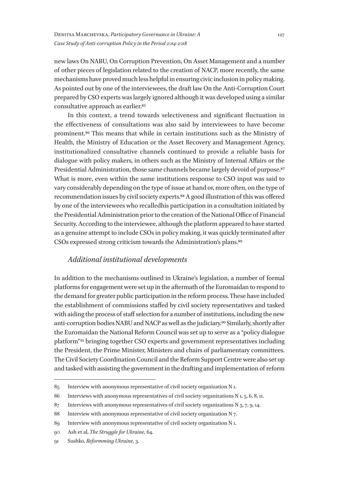new laws On NABU, On Corruption Prevention, On Asset Management and a number of other pieces of legislation related to the creation of NACP, more recently, the same mechanisms have proved much less helpful in ensuring civic inclusion in policy making. As pointed out by one of the interviewees, the draft law On the Anti-Corruption Court prepared by CSO experts was largely ignored although it was developed using a similar consultative approach as earlier.85

In this context, a trend towards selectiveness and significant fluctuation in the effectiveness of consultations was also said by interviewees to have become prominent.86 This means that while in certain institutions such as the Ministry of Health, the Ministry of Education or the Asset Recovery and Management Agency, institutionalized consultative channels continued to provide a reliable basis for dialogue with policy makers, in others such as the Ministry of Internal Affairs or the Presidential Administration, those same channels became largely devoid of purpose.<sup>87</sup> What is more, even within the same institutions response to CSO input was said to vary considerably depending on the type of issue at hand or, more often, on the type of recommendation issues by civil society experts.88 A good illustration of this was offered by one of the interviewees who recalledhis participation in a consultation initiated by the Presidential Administration prior to the creation of the National Office of Financial Security. According to the interviewee, although the platform appeared to have started as a genuine attempt to include CSOs in policy making, it was quickly terminated after CSOs expressed strong criticism towards the Administration's plans.89

# *Additional institutional developments*

In addition to the mechanisms outlined in Ukraine's legislation, a number of formal platforms for engagement were set up in the aftermath of the Euromaidan to respond to the demand for greater public participation in the reform process. These have included the establishment of commissions staffed by civil society representatives and tasked with aiding the process of staff selection for a number of institutions, including the new anti-corruption bodies NABU and NACP as well as the judiciary.90 Similarly, shortly after the Euromaidan the National Reform Council was set up to serve as a "policy dialogue platform" 91 bringing together CSO experts and government representatives including the President, the Prime Minister, Ministers and chairs of parliamentary committees. The Civil Society Coordination Council and the Reform Support Centre were also set up and tasked with assisting the government in the drafting and implementation of reform

<sup>85</sup> Interview with anonymous representative of civil society organization N 1.

<sup>86</sup> Interviews with anonymous representatives of civil society organizations N 1, 5, 6, 8, 11.

<sup>87</sup> Interviews with anonymous representatives of civil society organizations N 5, 7, 9, 14.

<sup>88</sup> Interview with anonymous representative of civil society organization N 7.

<sup>89</sup> Interview with anonymous representative of civil society organization N 1.

<sup>90</sup> Ash et al, *The Struggle for Ukraine,* 64.

<sup>91</sup> Sushko, *Reformming Ukraine,* 3.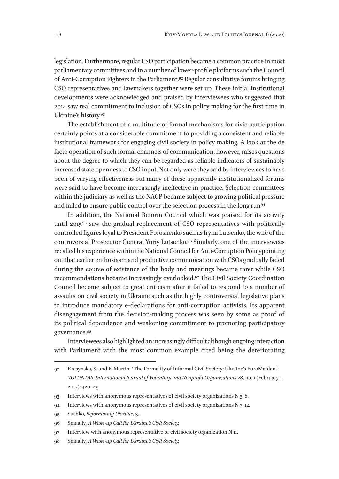legislation. Furthermore, regular CSO participation became a common practice in most parliamentary committees and in a number of lower-profile platforms such the Council of Anti-Corruption Fighters in the Parliament.92 Regular consultative forums bringing CSO representatives and lawmakers together were set up. These initial institutional developments were acknowledged and praised by interviewees who suggested that 2014 saw real commitment to inclusion of CSOs in policy making for the first time in Ukraine's history.93

The establishment of a multitude of formal mechanisms for civic participation certainly points at a considerable commitment to providing a consistent and reliable institutional framework for engaging civil society in policy making. A look at the de facto operation of such formal channels of communication, however, raises questions about the degree to which they can be regarded as reliable indicators of sustainably increased state openness to CSO input. Not only were they said by interviewees to have been of varying effectiveness but many of these apparently institutionalized forums were said to have become increasingly ineffective in practice. Selection committees within the judiciary as well as the NACP became subject to growing political pressure and failed to ensure public control over the selection process in the long run<sup>94</sup>

In addition, the National Reform Council which was praised for its activity until 2015<sup>95</sup> saw the gradual replacement of CSO representatives with politically controlled figures loyal to President Poroshenko such as Iryna Lutsenko, the wife of the controversial Prosecutor General Yuriy Lutsenko.96 Similarly, one of the interviewees recalled his experience within the National Council for Anti-Corruption Policypointing out that earlier enthusiasm and productive communication with CSOs gradually faded during the course of existence of the body and meetings became rarer while CSO recommendations became increasingly overlooked.97 The Civil Society Coordination Council become subject to great criticism after it failed to respond to a number of assaults on civil society in Ukraine such as the highly controversial legislative plans to introduce mandatory e-declarations for anti-corruption activists. Its apparent disengagement from the decision-making process was seen by some as proof of its political dependence and weakening commitment to promoting participatory governance.98

Interviewees also highlighted an increasingly difficult although ongoing interaction with Parliament with the most common example cited being the deteriorating

<sup>92</sup> Krasynska, S. and E. Martin. "The Formality of Informal Civil Society: Ukraine's EuroMaidan." *VOLUNTAS: International Journal of Voluntary and Nonprofit Organizations* 28, no. 1 (February 1, 2017): 420–49.

<sup>93</sup> Interviews with anonymous representatives of civil society organizations N 5, 8.

<sup>94</sup> Interviews with anonymous representatives of civil society organizations N 3, 12.

<sup>95</sup> Sushko, *Reformming Ukraine,* 3.

<sup>96</sup> Smagliy*, A Wake-up Call for Ukraine's Civil Society.*

<sup>97</sup> Interview with anonymous representative of civil society organization N 11.

<sup>98</sup> Smagliy*, A Wake-up Call for Ukraine's Civil Society.*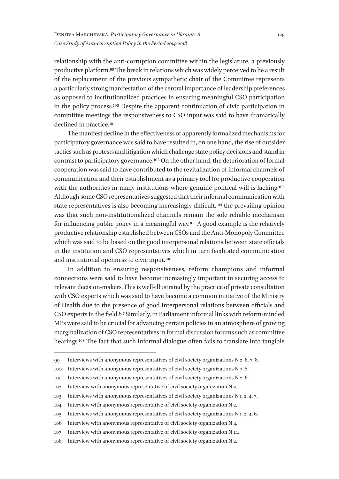relationship with the anti-corruption committee within the legislature, a previously productive platform.99 The break in relations which was widely perceived to be a result of the replacement of the previous sympathetic chair of the Committee represents a particularly strong manifestation of the central importance of leadership preferences as opposed to institutionalized practices in ensuring meaningful CSO participation in the policy process.100 Despite the apparent continuation of civic participation in committee meetings the responsiveness to CSO input was said to have dramatically declined in practice.101

The manifest decline in the effectiveness of apparently formalized mechanisms for participatory governance was said to have resulted in, on one hand, the rise of outsider tactics such as protests and litigation which challenge state policy decisions and stand in contrast to participatory governance.102 On the other hand, the deterioration of formal cooperation was said to have contributed to the revitalization of informal channels of communication and their establishment as a primary tool for productive cooperation with the authorities in many institutions where genuine political will is lacking.<sup>103</sup> Although some CSO representatives suggested that their informal communication with state representatives is also becoming increasingly difficult,104 the prevailing opinion was that such non-institutionalized channels remain the sole reliable mechanism for influencing public policy in a meaningful way.105 A good example is the relatively productive relationship established between CSOs and the Anti-Monopoly Committee which was said to be based on the good interpersonal relations between state officials in the institution and CSO representatives which in turn facilitated communication and institutional openness to civic input.106

In addition to ensuring responsiveness, reform champions and informal connections were said to have become increasingly important in securing access to relevant decision-makers. This is well-illustrated by the practice of private consultation with CSO experts which was said to have become a common initiative of the Ministry of Health due to the presence of good interpersonal relations between officials and CSO experts in the field.107 Similarly, in Parliament informal links with reform-minded MPs were said to be crucial for advancing certain policies in an atmosphere of growing marginalization of CSO representatives in formal discussion forums such as committee hearings.108 The fact that such informal dialogue often fails to translate into tangible

<sup>99</sup> Interviews with anonymous representatives of civil society organizations N  $2, 6, 7, 8$ .

<sup>100</sup> Interviews with anonymous representatives of civil society organizations N 7, 8.

<sup>101</sup> Interviews with anonymous representatives of civil society organizations N 2, 6.

<sup>102</sup> Interview with anonymous representative of civil society organization N 2.

<sup>103</sup> Interviews with anonymous representatives of civil society organizations N 1, 2, 4, 7.

<sup>104</sup> Interview with anonymous representative of civil society organization N 2.

<sup>105</sup> Interviews with anonymous representatives of civil society organizations N 1, 2, 4, 6.

<sup>106</sup> Interview with anonymous representative of civil society organization N 4.

<sup>107</sup> Interview with anonymous representative of civil society organization N 14.

<sup>108</sup> Interview with anonymous representative of civil society organization N 2.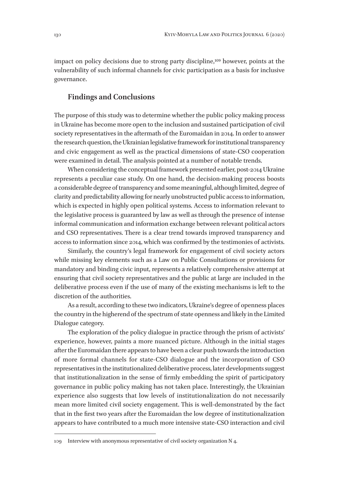impact on policy decisions due to strong party discipline,<sup>109</sup> however, points at the vulnerability of such informal channels for civic participation as a basis for inclusive governance.

### **Findings and Conclusions**

The purpose of this study was to determine whether the public policy making process in Ukraine has become more open to the inclusion and sustained participation of civil society representatives in the aftermath of the Euromaidan in 2014. In order to answer the research question, the Ukrainian legislative framework for institutional transparency and civic engagement as well as the practical dimensions of state-CSO cooperation were examined in detail. The analysis pointed at a number of notable trends.

When considering the conceptual framework presented earlier, post-2014 Ukraine represents a peculiar case study. On one hand, the decision-making process boosts a considerable degree of transparency and some meaningful, although limited, degree of clarity and predictability allowing for nearly unobstructed public access to information, which is expected in highly open political systems. Access to information relevant to the legislative process is guaranteed by law as well as through the presence of intense informal communication and information exchange between relevant political actors and CSO representatives. There is a clear trend towards improved transparency and access to information since 2014, which was confirmed by the testimonies of activists.

Similarly, the country's legal framework for engagement of civil society actors while missing key elements such as a Law on Public Consultations or provisions for mandatory and binding civic input, represents a relatively comprehensive attempt at ensuring that civil society representatives and the public at large are included in the deliberative process even if the use of many of the existing mechanisms is left to the discretion of the authorities.

As a result, according to these two indicators, Ukraine's degree of openness places the country in the higherend of the spectrum of state openness and likely in the Limited Dialogue category.

The exploration of the policy dialogue in practice through the prism of activists' experience, however, paints a more nuanced picture. Although in the initial stages after the Euromaidan there appears to have been a clear push towards the introduction of more formal channels for state-CSO dialogue and the incorporation of CSO representatives in the institutionalized deliberative process, later developments suggest that institutionalization in the sense of firmly embedding the spirit of participatory governance in public policy making has not taken place. Interestingly, the Ukrainian experience also suggests that low levels of institutionalization do not necessarily mean more limited civil society engagement. This is well-demonstrated by the fact that in the first two years after the Euromaidan the low degree of institutionalization appears to have contributed to a much more intensive state-CSO interaction and civil

<sup>109</sup> Interview with anonymous representative of civil society organization N 4.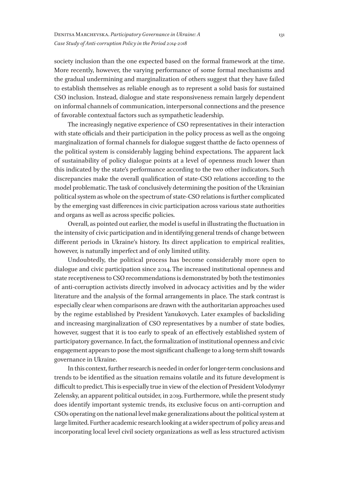society inclusion than the one expected based on the formal framework at the time. More recently, however, the varying performance of some formal mechanisms and the gradual undermining and marginalization of others suggest that they have failed to establish themselves as reliable enough as to represent a solid basis for sustained CSO inclusion. Instead, dialogue and state responsiveness remain largely dependent on informal channels of communication, interpersonal connections and the presence of favorable contextual factors such as sympathetic leadership.

The increasingly negative experience of CSO representatives in their interaction with state officials and their participation in the policy process as well as the ongoing marginalization of formal channels for dialogue suggest thatthe de facto openness of the political system is considerably lagging behind expectations. The apparent lack of sustainability of policy dialogue points at a level of openness much lower than this indicated by the state's performance according to the two other indicators. Such discrepancies make the overall qualification of state-CSO relations according to the model problematic. The task of conclusively determining the position of the Ukrainian political system as whole on the spectrum of state-CSO relations is further complicated by the emerging vast differences in civic participation across various state authorities and organs as well as across specific policies.

Overall, as pointed out earlier, the model is useful in illustrating the fluctuation in the intensity of civic participation and in identifying general trends of change between different periods in Ukraine's history. Its direct application to empirical realities, however, is naturally imperfect and of only limited utility.

Undoubtedly, the political process has become considerably more open to dialogue and civic participation since 2014. The increased institutional openness and state receptiveness to CSO recommendations is demonstrated by both the testimonies of anti-corruption activists directly involved in advocacy activities and by the wider literature and the analysis of the formal arrangements in place. The stark contrast is especially clear when comparisons are drawn with the authoritarian approaches used by the regime established by President Yanukovych. Later examples of backsliding and increasing marginalization of CSO representatives by a number of state bodies, however, suggest that it is too early to speak of an effectively established system of participatory governance. In fact, the formalization of institutional openness and civic engagement appears to pose the most significant challenge to a long-term shift towards governance in Ukraine.

In this context, further research is needed in order for longer-term conclusions and trends to be identified as the situation remains volatile and its future development is difficult to predict. This is especially true in view of the election of President Volodymyr Zelensky, an apparent political outsider, in 2019. Furthermore, while the present study does identify important systemic trends, its exclusive focus on anti-corruption and CSOs operating on the national level make generalizations about the political system at large limited. Further academic research looking at a wider spectrum of policy areas and incorporating local level civil society organizations as well as less structured activism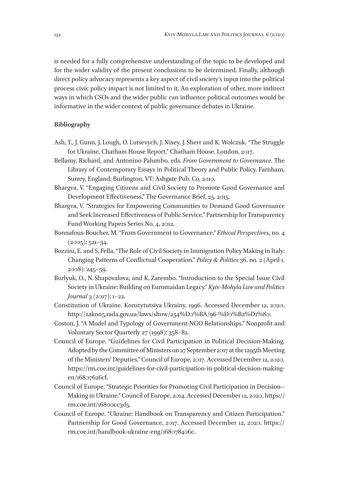is needed for a fully comprehensive understanding of the topic to be developed and for the wider validity of the present conclusions to be determined. Finally, although direct policy advocacy represents a key aspect of civil society's input into the political process civic policy impact is not limited to it. An exploration of other, more indirect ways in which CSOs and the wider public can influence political outcomes would be informative in the wider context of public governance debates in Ukraine.

#### **Bibliography**

- Ash, T., J. Gunn, J. Lough, O. Lutsevych, J. Nixey, J. Sherr and K. Wolczuk. "The Struggle for Ukraine. Chatham House Report." Chatham House. London, 2017.
- Bellamy, Richard, and Antonino Palumbo, eds. *From Government to Governance*. The Library of Contemporary Essays in Political Theory and Public Policy. Farnham, Surrey, England; Burlington, VT: Ashgate Pub. Co, 2010.
- Bhargva, V. "Engaging Citizens and Civil Society to Promote Good Governance and Development Effectiveness." The Governance Brief, 25, 2015.
- Bhargva, V. "Strategies for Empowering Communities to Demand Good Governance and Seek Increased Effectiveness of Public Service." Partnership for Transparency Fund Working Papers Series No. 4, 2012.
- Bonnafous-Boucher, M. "From Government to Governance." *Ethical Perspectives*, no. 4  $(2005): 521 - 34.$
- Bozzini, E. and S. Fella. "The Role of Civil Society in Immigration Policy Making in Italy: Changing Patterns of Conflictual Cooperation." *Policy & Politics* 36, no. 2 (April 1, 2008): 245–59.
- Burlyuk, O., N. Shapovalova, and K. Zarembo. "Introduction to the Special Issue Civil Society in Ukraine: Building on Euromaidan Legacy." *Kyiv-Mohyla Law and Politics Journal* 3 (2017): 1–22.
- Constitution of Ukraine. Konstytutsiya Ukrainy. 1996. Accessed December 12, 2020. http://zakon5.rada.gov.ua/laws/show/254%D0%BA/96-%D0%B2%D1%80.
- Coston, J. "A Model and Typology of Government-NGO Relationships." Nonprofit and Voluntary Sector Quarterly 27 (1998): 358–82.
- Council of Europe. "Guidelines for Civil Participation in Political Decision-Making. Adopted by the Committee of Ministers on 27 September 2017 at the 1295th Meeting of the Ministers' Deputies." Council of Europe, 2017. Accessed December 12, 2020. https://rm.coe.int/guidelines-for-civil-participation-in-political-decision-makingen/16807626cf.
- Council of Europe. "Strategic Priorities for Promoting Civil Participation in Decision--Making in Ukraine." Council of Europe, 2014. Accessed December 12, 2020. https:// rm.coe.int/16800cc3d5.
- Council of Europe. "Ukraine: Handbook on Transparency and Citizen Participation." Partnership for Good Governance, 2017. Accessed December 12, 2020. https:// rm.coe.int/handbook-ukraine-eng/168078406c.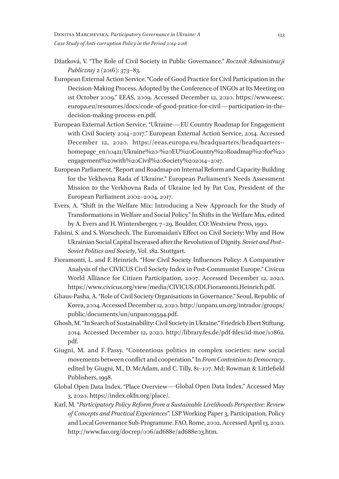- Džatková, V. "The Role of Civil Society in Public Governance." *Rocznik Administracji Publicznej* 2 (2016): 373–83.
- European External Action Service. "Code of Good Practice for Civil Participation in the Decision-Making Process. Adopted by the Conference of INGOs at Its Meeting on 1st October 2009." EEAS, 2009. Accessed December 12, 2020. https://www.eesc. europa.eu/resources/docs/code-of-good-pratice-for-civil—participation-in-thedecision-making-process-en.pdf.
- European External Action Service. "Ukraine—EU Country Roadmap for Engagement with Civil Society 2014–2017." European External Action Service, 2014. Accessed December 12, 2020. https://eeas.europa.eu/headquarters/headquarters-homepage\_en/10421/Ukraine%20-%20EU%20Country%20Roadmap%20for%20 engagement%20with%20Civil%20Society%202014–2017.
- European Parliament. "Report and Roadmap on Internal Reform and Capacity-Building for the Vekhovna Rada of Ukraine." European Parliament's Needs Assessment Mission to the Verkhovna Rada of Ukraine led by Pat Cox, President of the European Parliament 2002–2004, 2017.
- Evers, A. "Shift in the Welfare Mix: Introducing a New Approach for the Study of Transformations in Welfare and Social Policy." In Shifts in the Welfare Mix, edited by A. Evers and H. Wintersberger, 7–29. Boulder, CO: Westview Press, 1990.
- Falsini, S. and S. Worschech. The Euromaidan's Effect on Civil Society: Why and How Ukrainian Social Capital Increased after the Revolution of Dignity. *Soviet and Post- - Soviet Politics and Society*, Vol. 182. Stuttgart.
- Fioramonti, L. and F. Heinrich. "How Civil Society Influences Policy: A Comparative Analysis of the CIVICUS Civil Society Index in Post-Communist Europe." Civicus World Alliance for Citizen Participation, 2007. Accessed December 12, 2020. https://www.civicus.org/view/media/CIVICUS.ODI.Fioramonti.Heinrich.pdf.
- Ghaus-Pasha, A. "Role of Civil Society Organisations in Governance." Seoul, Republic of Korea, 2004. Accessed December 12, 2020. http://unpan1.un.org/intradoc/groups/ public/documents/un/unpan019594.pdf.
- Ghosh, M. "In Search of Sustainability: Civil Society in Ukraine." Friedrich Ebert Stiftung, 2014. Accessed December 12, 2020. http://library.fes.de/pdf-files/id-moe/10862. pdf.
- Giugni, M. and F. Passy. "Contentious politics in complex societies: new social movements between conflict and cooperation." In *From Contention to Democracy*, edited by Giugni, M., D. McAdam, and C. Tilly, 81–107. Md: Rowman & Littlefield Publishers, 1998.
- Global Open Data Index. "Place Overview—Global Open Data Index." Accessed May 3, 2020. https://index.okfn.org/place/.
- Karl, M. "*Participatory Policy Reform from a Sustainable Livelihoods Perspective: Review of Concepts and Practical Experiences*". LSP Working Paper 3, Participation, Policy and Local Governance Sub-Programme. FAO, Rome, 2002. Accessed April 13, 2020. http://www.fao.org/docrep/006/ad688e/ad688e03.htm.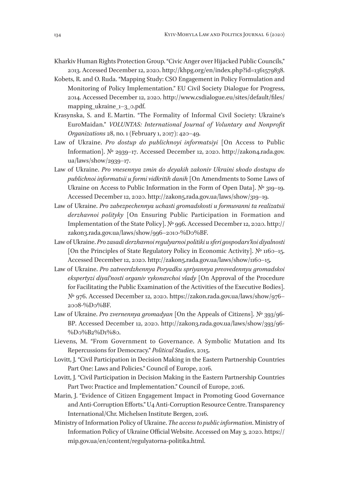- Kharkiv Human Rights Protection Group. "Civic Anger over Hijacked Public Councils," 2013. Accessed December 12, 2020. http://khpg.org/en/index.php?id=1361579838.
- Kobets, R. and O. Ruda. "Mapping Study: CSO Engagement in Policy Formulation and Monitoring of Policy Implementation." EU Civil Society Dialogue for Progress, 2014. Accessed December 12, 2020. http://www.csdialogue.eu/sites/default/files/ mapping\_ukraine\_1–3\_0.pdf.
- Krasynska, S. and E. Martin. "The Formality of Informal Civil Society: Ukraine's EuroMaidan." *VOLUNTAS: International Journal of Voluntary and Nonprofit Organizations* 28, no. 1 (February 1, 2017): 420–49.
- Law of Ukraine. *Pro dostup do publichnoyi informatsiyi* [On Access to Public Information]. № 2939–17. Accessed December 12, 2020. http://zakon4.rada.gov. ua/laws/show/2939–17.
- Law of Ukraine. *Pro vnesennya zmin do deyakih zakoniv Ukraini shodo dostupu do publichnoi informatsii u formi vidkritih danih* [On Amendments to Some Laws of Ukraine on Access to Public Information in the Form of Open Data]. № 319–19. Accessed December 12, 2020. http://zakon5.rada.gov.ua/laws/show/319-19.
- Law of Ukraine. *Pro zabezpechennya uchasti gromadskosti u formuvanni ta realizatsii derzhavnoi polityky* [On Ensuring Public Participation in Formation and Implementation of the State Policy]. № 996. Accessed December 12, 2020. http:// zakon3.rada.gov.ua/laws/show/996–2010-%D0%BF.
- Law of Ukraine. *Pro zasadi derzhavnoi regulyarnoi politiki u sferi gospodars'koi diyalnosti* [On the Principles of State Regulatory Policy in Economic Activity]. № 1160–15. Accessed December 12, 2020. http://zakon5.rada.gov.ua/laws/show/1160-15.
- Law of Ukraine. *Pro zatveerdzhennya Poryadku spriyannya preovedennyu gromadskoi ekspertyzi diyal'nosti organiv vykonavchoi vlady* [On Approval of the Procedure for Facilitating the Public Examination of the Activities of the Executive Bodies]. № 976. Accessed December 12, 2020. https://zakon.rada.gov.ua/laws/show/976– 2008-%D0%BF.
- Law of Ukraine. *Pro zvernennya gromadyan* [On the Appeals of Citizens]. № 393/96- ВР. Accessed December 12, 2020. http://zakon3.rada.gov.ua/laws/show/393/96- %D0%B2%D1%80.
- Lievens, M. "From Government to Governance. A Symbolic Mutation and Its Repercussions for Democracy." *Political Studies*, 2015.
- Lovitt, J. "Civil Participation in Decision Making in the Eastern Partnership Countries Part One: Laws and Policies." Council of Europe, 2016.
- Lovitt, J. "Civil Participation in Decision Making in the Eastern Partnership Countries Part Two: Practice and Implementation." Council of Europe, 2016.
- Marin, J. "Evidence of Citizen Engagement Impact in Promoting Good Governance and Anti-Corruption Efforts." U4 Anti-Corruption Resource Centre. Transparency International/Chr. Michelsen Institute Bergen, 2016.
- Ministry of Information Policy of Ukraine. *The access to public information*. Ministry of Information Policy of Ukraine Official Website. Accessed on May 3, 2020. https:// mip.gov.ua/en/content/regulyatorna-politika.html.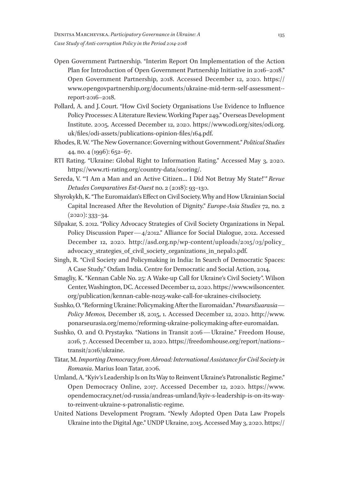- Open Government Partnership. "Interim Report On Implementation of the Action Plan for Introduction of Open Government Partnership Initiative in 2016–2018." Open Government Partnership, 2018. Accessed December 12, 2020. https:// www.opengovpartnership.org/documents/ukraine-mid-term-self-assessment-report-2016–2018.
- Pollard, A. and J. Court. "How Civil Society Organisations Use Evidence to Influence Policy Processes: A Literature Review. Working Paper 249." Overseas Development Institute. 2005. Accessed December 12, 2020. https://www.odi.org/sites/odi.org. uk/files/odi-assets/publications-opinion-files/164.pdf.
- Rhodes, R. W. "The New Governance: Governing without Government." *Political Studies* 44, no. 4 (1996): 652–67.
- RTI Rating. "Ukraine: Global Right to Information Rating." Accessed May 3, 2020. https://www.rti-rating.org/country-data/scoring/.
- Sereda, V. "'I Am a Man and an Active Citizen… I Did Not Betray My State!'*" Revue Detudes Comparatives Est-Ouest* no. 2 (2018): 93–130.
- Shyrokykh, K. "The Euromaidan's Effect on Civil Society. Why and How Ukrainian Social Capital Increased After the Revolution of Dignity." *Europe-Asia Studies* 72, no. 2  $(2020): 333 - 34.$
- Silpakar, S. 2012. "Policy Advocacy Strategies of Civil Society Organizations in Nepal. Policy Discussion Paper—4/2012." Alliance for Social Dialogue, 2012. Accessed December 12, 2020. http://asd.org.np/wp-content/uploads/2015/03/policy\_ advocacy\_strategies\_of\_civil\_society\_organizations\_in\_nepal0.pdf.
- Singh, R. "Civil Society and Policymaking in India: In Search of Democratic Spaces: A Case Study." Oxfam India. Centre for Democratic and Social Action, 2014.
- Smagliy, K. "Kennan Cable No. 25: A Wake-up Call for Ukraine's Civil Society". Wilson Center, Washington, DC. Accessed December 12, 2020. https://www.wilsoncenter. org/publication/kennan-cable-no25‑wake-call-for-ukraines-civilsociety.
- Sushko, O. "Reforming Ukraine: Policymaking After the Euromaidan." *PonarsEuarasia— Policy Memos,* December 18, 2015, 1. Accessed December 12, 2020. http://www. ponarseurasia.org/memo/reforming-ukraine-policymaking-after-euromaidan.
- Sushko, O. and O. Prystayko. "Nations in Transit 2016—Ukraine." Freedom House, 2016, 7. Accessed December 12, 2020. https://freedomhouse.org/report/nations-transit/2016/ukraine.
- Tătar, M. *Importing Democracy from Abroad: International Assistance for Civil Society in Romania*. Marius Ioan Tatar, 2006.
- Umland, A. "Kyiv's Leadership Is on Its Way to Reinvent Ukraine's Patronalistic Regime." Open Democracy Online, 2017. Accessed December 12, 2020. https://www. opendemocracy.net/od-russia/andreas-umland/kyiv-s-leadership-is-on-its-wayto-reinvent-ukraine-s-patronalistic-regime.
- United Nations Development Program. "Newly Adopted Open Data Law Propels Ukraine into the Digital Age." UNDP Ukraine, 2015. Accessed May 3, 2020. https://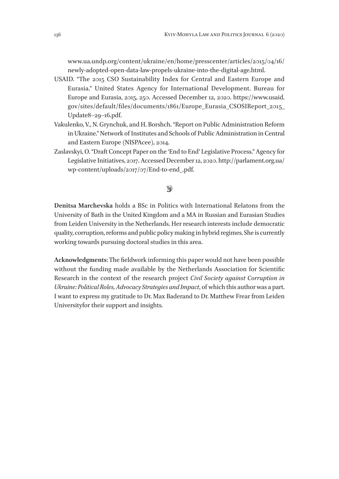www.ua.undp.org/content/ukraine/en/home/presscenter/articles/2015/04/16/ newly-adopted-open-data-law-propels-ukraine-into-the-digital-age.html.

- USAID. "The 2015 CSO Sustainability Index for Central and Eastern Europe and Eurasia." United States Agency for International Development. Bureau for Europe and Eurasia, 2015, 250. Accessed December 12, 2020. https://www.usaid. gov/sites/default/files/documents/1861/Europe\_Eurasia\_CSOSIReport\_2015\_ Update8–29–16.pdf.
- Vakulenko, V., N. Grynchuk, and H. Borshch. "Report on Public Administration Reform in Ukraine." Network of Institutes and Schools of Public Administration in Central and Eastern Europe (NISPAcee), 2014.
- Zaslavskyi, O. "Draft Concept Paper on the 'End to End' Legislative Process." Agency for Legislative Initiatives, 2017. Accessed December 12, 2020. http://parlament.org.ua/ wp-content/uploads/2017/07/End-to-end\_.pdf.

#### $\circledast$

**Denitsa Marchevska** holds a BSc in Politics with International Relatons from the University of Bath in the United Kingdom and a MA in Russian and Eurasian Studies from Leiden University in the Netherlands. Her research interests include democratic quality, corruption, reforms and public policy making in hybrid regimes. She is currently working towards pursuing doctoral studies in this area.

**Acknowledgments**: The fieldwork informing this paper would not have been possible without the funding made available by the Netherlands Association for Scientific Research in the context of the research project *Civil Society against Corruption in Ukraine: Political Roles, Advocacy Strategies and Impact*, of which this author was a part. I want to express my gratitude to Dr. Max Baderand to Dr. Matthew Frear from Leiden Universityfor their support and insights.